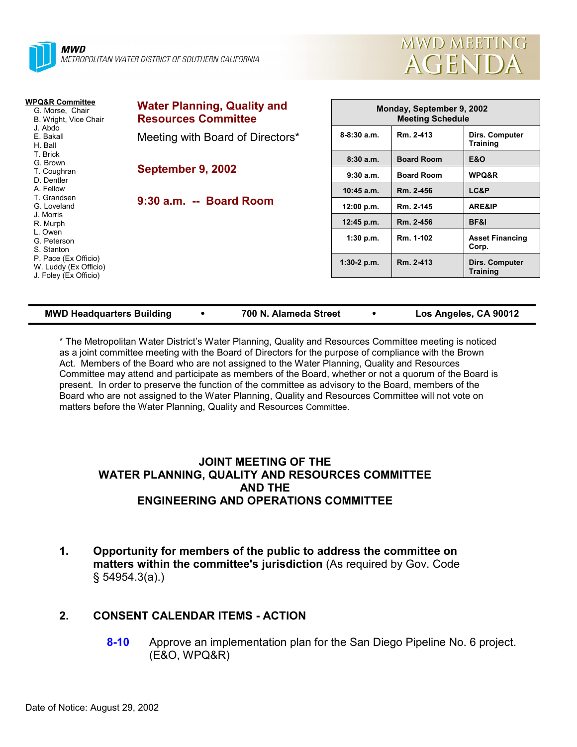



| <b>Water Planning, Quality and</b><br><b>Resources Committee</b> | Monday, September 9, 2002<br><b>Meeting Schedule</b> |                   |                                   |  |
|------------------------------------------------------------------|------------------------------------------------------|-------------------|-----------------------------------|--|
| Meeting with Board of Directors*                                 | $8 - 8:30$ a.m.                                      | Rm. 2-413         | Dirs. Computer<br><b>Training</b> |  |
|                                                                  | 8:30a.m.                                             | <b>Board Room</b> | <b>E&amp;O</b>                    |  |
|                                                                  | 9:30a.m.                                             | <b>Board Room</b> | WPQ&R                             |  |
|                                                                  | $10:45$ a.m.                                         | Rm. 2-456         | LC&P                              |  |
| 9:30 a.m. -- Board Room                                          | 12:00 p.m.                                           | Rm. 2-145         | ARE&IP                            |  |
|                                                                  | 12:45 p.m.                                           | Rm. 2-456         | <b>BF&amp;I</b>                   |  |
|                                                                  | 1:30 p.m.                                            | Rm. 1-102         | <b>Asset Financing</b><br>Corp.   |  |
|                                                                  | $1:30-2$ p.m.                                        | Rm. 2-413         | Dirs. Computer<br><b>Training</b> |  |
|                                                                  | September 9, 2002                                    |                   |                                   |  |

| <b>MWD Headquarters Building</b> | 700 N. Alameda Street | Los Angeles, CA 90012 |
|----------------------------------|-----------------------|-----------------------|
|                                  |                       |                       |

\* The Metropolitan Water Districtís Water Planning, Quality and Resources Committee meeting is noticed as a joint committee meeting with the Board of Directors for the purpose of compliance with the Brown Act. Members of the Board who are not assigned to the Water Planning, Quality and Resources Committee may attend and participate as members of the Board, whether or not a quorum of the Board is present. In order to preserve the function of the committee as advisory to the Board, members of the Board who are not assigned to the Water Planning, Quality and Resources Committee will not vote on matters before the Water Planning, Quality and Resources Committee.

### **JOINT MEETING OF THE WATER PLANNING, QUALITY AND RESOURCES COMMITTEE AND THE ENGINEERING AND OPERATIONS COMMITTEE**

**1. Opportunity for members of the public to address the committee on matters within the committee's jurisdiction** (As required by Gov. Code ß 54954.3(a).)

# **2. CONSENT CALENDAR ITEMS - ACTION**

**8-10** Approve an implementation plan for the San Diego Pipeline No. 6 project. (E&O, WPQ&R)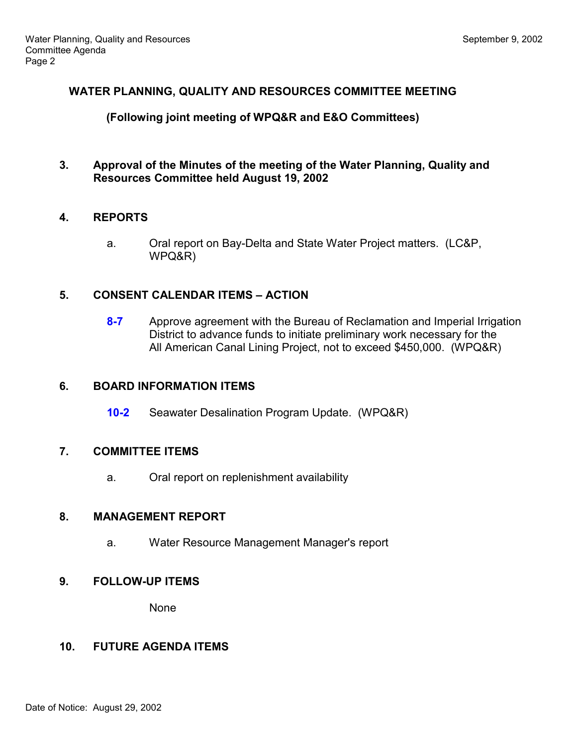### **WATER PLANNING, QUALITY AND RESOURCES COMMITTEE MEETING**

### **(Following joint meeting of WPQ&R and E&O Committees)**

**3. Approval of the Minutes of the meeting of the Water Planning, Quality and Resources Committee held August 19, 2002**

# **4. REPORTS**

a. Oral report on Bay-Delta and State Water Project matters. (LC&P, WPQ&R)

# **5. CONSENT CALENDAR ITEMS – ACTION**

**8-7** Approve agreement with the Bureau of Reclamation and Imperial Irrigation District to advance funds to initiate preliminary work necessary for the All American Canal Lining Project, not to exceed \$450,000. (WPQ&R)

### **6. BOARD INFORMATION ITEMS**

**10-2** Seawater Desalination Program Update. (WPQ&R)

### **7. COMMITTEE ITEMS**

a. Oral report on replenishment availability

### **8. MANAGEMENT REPORT**

a. Water Resource Management Manager's report

### **9. FOLLOW-UP ITEMS**

None

### **10. FUTURE AGENDA ITEMS**